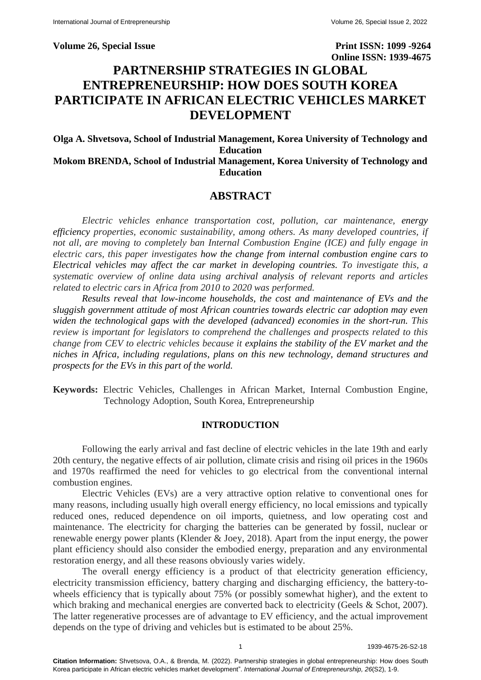**Volume 26, Special Issue Print ISSN: 1099 -9264 Online ISSN: 1939-4675**

# **PARTNERSHIP STRATEGIES IN GLOBAL ENTREPRENEURSHIP: HOW DOES SOUTH KOREA PARTICIPATE IN AFRICAN ELECTRIC VEHICLES MARKET DEVELOPMENT**

**Olga A. Shvetsova, School of Industrial Management, Korea University of Technology and Education Mokom BRENDA, School of Industrial Management, Korea University of Technology and Education**

# **ABSTRACT**

*Electric vehicles enhance transportation cost, pollution, car maintenance, energy efficiency properties, economic sustainability, among others. As many developed countries, if not all, are moving to completely ban Internal Combustion Engine (ICE) and fully engage in electric cars, this paper investigates how the change from internal combustion engine cars to Electrical vehicles may affect the car market in developing countries. To investigate this, a systematic overview of online data using archival analysis of relevant reports and articles related to electric cars in Africa from 2010 to 2020 was performed.* 

*Results reveal that low-income households, the cost and maintenance of EVs and the sluggish government attitude of most African countries towards electric car adoption may even widen the technological gaps with the developed (advanced) economies in the short-run. This review is important for legislators to comprehend the challenges and prospects related to this change from CEV to electric vehicles because it explains the stability of the EV market and the niches in Africa, including regulations, plans on this new technology, demand structures and prospects for the EVs in this part of the world.*

**Keywords:** Electric Vehicles, Challenges in African Market, Internal Combustion Engine, Technology Adoption, South Korea, Entrepreneurship

# **INTRODUCTION**

Following the early arrival and fast decline of electric vehicles in the late 19th and early 20th century, the negative effects of air pollution, climate crisis and rising oil prices in the 1960s and 1970s reaffirmed the need for vehicles to go electrical from the conventional internal combustion engines.

Electric Vehicles (EVs) are a very attractive option relative to conventional ones for many reasons, including usually high overall energy efficiency, no local emissions and typically reduced ones, reduced dependence on oil imports, quietness, and low operating cost and maintenance. The electricity for charging the batteries can be generated by fossil, nuclear or renewable energy power plants (Klender & Joey, 2018). Apart from the input energy, the power plant efficiency should also consider the embodied energy, preparation and any environmental restoration energy, and all these reasons obviously varies widely.

The overall energy efficiency is a product of that electricity generation efficiency, electricity transmission efficiency, battery charging and discharging efficiency, the battery-towheels efficiency that is typically about 75% (or possibly somewhat higher), and the extent to which braking and mechanical energies are converted back to electricity (Geels & Schot, 2007). The latter regenerative processes are of advantage to EV efficiency, and the actual improvement depends on the type of driving and vehicles but is estimated to be about 25%.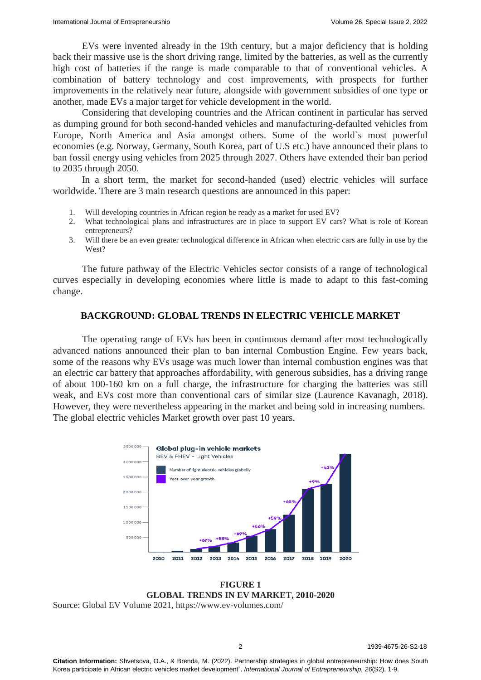EVs were invented already in the 19th century, but a major deficiency that is holding back their massive use is the short driving range, limited by the batteries, as well as the currently high cost of batteries if the range is made comparable to that of conventional vehicles. A combination of battery technology and cost improvements, with prospects for further improvements in the relatively near future, alongside with government subsidies of one type or another, made EVs a major target for vehicle development in the world.

Considering that developing countries and the African continent in particular has served as dumping ground for both second-handed vehicles and manufacturing-defaulted vehicles from Europe, North America and Asia amongst others. Some of the world`s most powerful economies (e.g. Norway, Germany, South Korea, part of U.S etc.) have announced their plans to ban fossil energy using vehicles from 2025 through 2027. Others have extended their ban period to 2035 through 2050.

In a short term, the market for second-handed (used) electric vehicles will surface worldwide. There are 3 main research questions are announced in this paper:

- 1. Will developing countries in African region be ready as a market for used EV?
- 2. What technological plans and infrastructures are in place to support EV cars? What is role of Korean entrepreneurs?
- 3. Will there be an even greater technological difference in African when electric cars are fully in use by the West?

The future pathway of the Electric Vehicles sector consists of a range of technological curves especially in developing economies where little is made to adapt to this fast-coming change.

### **BACKGROUND: GLOBAL TRENDS IN ELECTRIC VEHICLE MARKET**

The operating range of EVs has been in continuous demand after most technologically advanced nations announced their plan to ban internal Combustion Engine. Few years back, some of the reasons why EVs usage was much lower than internal combustion engines was that an electric car battery that approaches affordability, with generous subsidies, has a driving range of about 100-160 km on a full charge, the infrastructure for charging the batteries was still weak, and EVs cost more than conventional cars of similar size (Laurence Kavanagh, 2018). However, they were nevertheless appearing in the market and being sold in increasing numbers. The global electric vehicles Market growth over past 10 years.



**FIGURE 1 GLOBAL TRENDS IN EV MARKET, 2010-2020**

Source: Global EV Volume 2021, https://www.ev-volumes.com/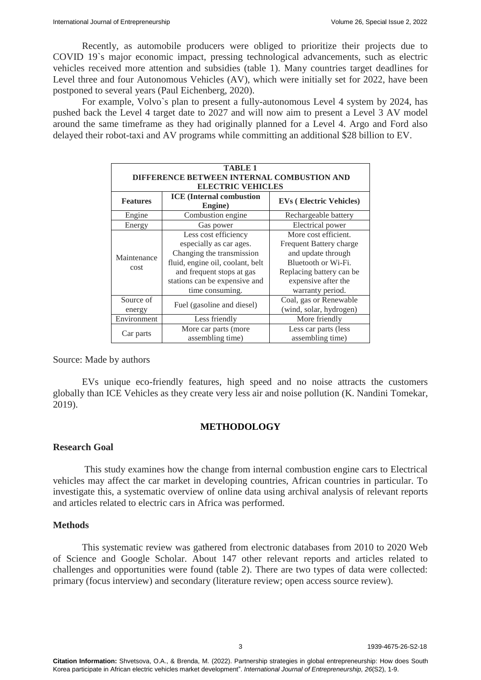Recently, as automobile producers were obliged to prioritize their projects due to COVID 19`s major economic impact, pressing technological advancements, such as electric vehicles received more attention and subsidies (table 1). Many countries target deadlines for Level three and four Autonomous Vehicles (AV), which were initially set for 2022, have been postponed to several years (Paul Eichenberg, 2020).

For example, Volvo`s plan to present a fully-autonomous Level 4 system by 2024, has pushed back the Level 4 target date to 2027 and will now aim to present a Level 3 AV model around the same timeframe as they had originally planned for a Level 4. Argo and Ford also delayed their robot-taxi and AV programs while committing an additional \$28 billion to EV.

| <b>TABLE 1</b>                             |                                                                                                                                                                                                   |                                                                                                                                                                     |  |  |  |
|--------------------------------------------|---------------------------------------------------------------------------------------------------------------------------------------------------------------------------------------------------|---------------------------------------------------------------------------------------------------------------------------------------------------------------------|--|--|--|
| DIFFERENCE BETWEEN INTERNAL COMBUSTION AND |                                                                                                                                                                                                   |                                                                                                                                                                     |  |  |  |
| <b>ELECTRIC VEHICLES</b>                   |                                                                                                                                                                                                   |                                                                                                                                                                     |  |  |  |
| <b>Features</b>                            | <b>ICE</b> (Internal combustion<br><b>EVs</b> (Electric Vehicles)<br>Engine)                                                                                                                      |                                                                                                                                                                     |  |  |  |
| Engine                                     | Combustion engine<br>Rechargeable battery                                                                                                                                                         |                                                                                                                                                                     |  |  |  |
| Energy                                     | Electrical power<br>Gas power                                                                                                                                                                     |                                                                                                                                                                     |  |  |  |
| Maintenance<br>cost                        | Less cost efficiency<br>especially as car ages.<br>Changing the transmission<br>fluid, engine oil, coolant, belt<br>and frequent stops at gas<br>stations can be expensive and<br>time consuming. | More cost efficient.<br>Frequent Battery charge<br>and update through<br>Bluetooth or Wi-Fi.<br>Replacing battery can be<br>expensive after the<br>warranty period. |  |  |  |
| Source of<br>energy                        | Fuel (gasoline and diesel)                                                                                                                                                                        | Coal, gas or Renewable<br>(wind, solar, hydrogen)                                                                                                                   |  |  |  |
| Environment                                | Less friendly                                                                                                                                                                                     | More friendly                                                                                                                                                       |  |  |  |
| Car parts                                  | More car parts (more<br>assembling time)                                                                                                                                                          | Less car parts (less<br>assembling time)                                                                                                                            |  |  |  |

Source: Made by authors

EVs unique eco-friendly features, high speed and no noise attracts the customers globally than ICE Vehicles as they create very less air and noise pollution (K. Nandini Tomekar, 2019).

#### **METHODOLOGY**

### **Research Goal**

This study examines how the change from internal combustion engine cars to Electrical vehicles may affect the car market in developing countries, African countries in particular. To investigate this, a systematic overview of online data using archival analysis of relevant reports and articles related to electric cars in Africa was performed.

#### **Methods**

This systematic review was gathered from electronic databases from 2010 to 2020 Web of Science and Google Scholar. About 147 other relevant reports and articles related to challenges and opportunities were found (table 2). There are two types of data were collected: primary (focus interview) and secondary (literature review; open access source review).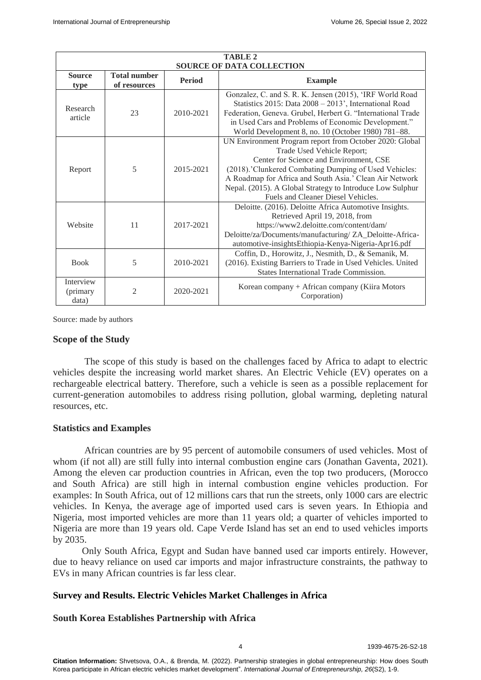| <b>TABLE 2</b>                   |                                     |               |                                                                                                                                                                                                                                                                                                                                                         |  |
|----------------------------------|-------------------------------------|---------------|---------------------------------------------------------------------------------------------------------------------------------------------------------------------------------------------------------------------------------------------------------------------------------------------------------------------------------------------------------|--|
| <b>SOURCE OF DATA COLLECTION</b> |                                     |               |                                                                                                                                                                                                                                                                                                                                                         |  |
| <b>Source</b><br>type            | <b>Total number</b><br>of resources | <b>Period</b> | <b>Example</b>                                                                                                                                                                                                                                                                                                                                          |  |
| Research<br>article              | 23                                  | 2010-2021     | Gonzalez, C. and S. R. K. Jensen (2015), 'IRF World Road<br>Statistics 2015: Data 2008 - 2013', International Road<br>Federation, Geneva. Grubel, Herbert G. "International Trade<br>in Used Cars and Problems of Economic Development."<br>World Development 8, no. 10 (October 1980) 781-88.                                                          |  |
| Report                           | 5                                   | 2015-2021     | UN Environment Program report from October 2020: Global<br>Trade Used Vehicle Report;<br>Center for Science and Environment, CSE<br>(2018).'Clunkered Combating Dumping of Used Vehicles:<br>A Roadmap for Africa and South Asia.' Clean Air Network<br>Nepal. (2015). A Global Strategy to Introduce Low Sulphur<br>Fuels and Cleaner Diesel Vehicles. |  |
| Website                          | 11                                  | 2017-2021     | Deloitte. (2016). Deloitte Africa Automotive Insights.<br>Retrieved April 19, 2018, from<br>https://www2.deloitte.com/content/dam/<br>Deloitte/za/Documents/manufacturing/ ZA_Deloitte-Africa-<br>automotive-insightsEthiopia-Kenya-Nigeria-Apr16.pdf                                                                                                   |  |
| <b>Book</b>                      | 5                                   | 2010-2021     | Coffin, D., Horowitz, J., Nesmith, D., & Semanik, M.<br>(2016). Existing Barriers to Trade in Used Vehicles. United<br>States International Trade Commission.                                                                                                                                                                                           |  |
| Interview<br>(primary<br>data)   | $\overline{2}$                      | 2020-2021     | Korean company + African company (Kiira Motors<br>Corporation)                                                                                                                                                                                                                                                                                          |  |

Source: made by authors

#### **Scope of the Study**

The scope of this study is based on the challenges faced by Africa to adapt to electric vehicles despite the increasing world market shares. An Electric Vehicle (EV) operates on a rechargeable electrical battery. Therefore, such a vehicle is seen as a possible replacement for current-generation automobiles to address rising pollution, global warming, depleting natural resources, etc.

#### **Statistics and Examples**

African countries are by 95 percent of automobile consumers of used vehicles. Most of whom (if not all) are still fully into internal combustion engine cars (Jonathan Gaventa, 2021). Among the eleven car production countries in African, even the top two producers, (Morocco and South Africa) are still high in internal combustion engine vehicles production. For examples: In South Africa, out of 12 millions cars that run the streets, only 1000 cars are electric vehicles. In Kenya, the [average age](https://www.unep.org/resources/report/global-trade-used-vehicles-report) of imported used cars is seven years. In Ethiopia and Nigeria, most imported vehicles are more than 11 years old; a quarter of vehicles imported to Nigeria are more than 19 years old. [Cape Verde](http://tda-mobility.org/wp-content/uploads/2019/04/Cabo-Verde-Electric-Mobility-Policy-Chapter.pdf) Island has set an end to used vehicles imports by 2035.

Only South Africa, Egypt and Sudan have banned used car imports entirely. However, due to heavy reliance on used car imports and major infrastructure constraints, the pathway to EVs in many African countries is far less clear.

# **Survey and Results. Electric Vehicles Market Challenges in Africa**

#### **South Korea Establishes Partnership with Africa**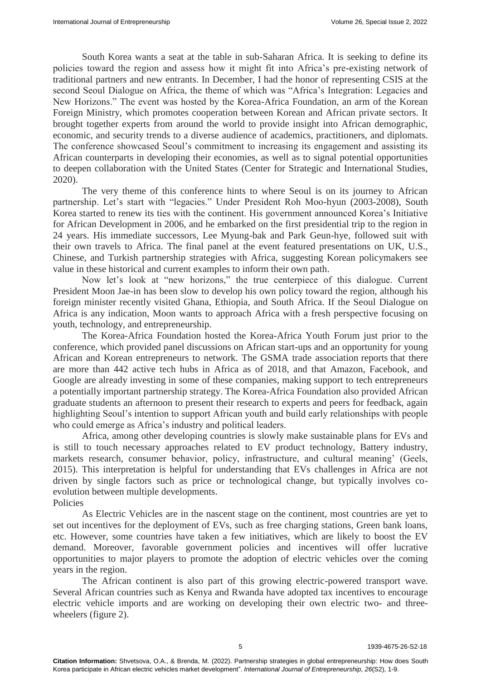South Korea wants a seat at the table in sub-Saharan Africa. It is seeking to define its policies toward the region and assess how it might fit into Africa's pre-existing network of traditional partners and new entrants. In December, I had the honor of representing CSIS at the second Seoul Dialogue on Africa, the theme of which was "Africa's Integration: Legacies and New Horizons." The event was hosted by the Korea-Africa Foundation, an arm of the Korean Foreign Ministry, which promotes cooperation between Korean and African private sectors. It brought together experts from around the world to provide insight into African demographic, economic, and security trends to a diverse audience of academics, practitioners, and diplomats. The conference showcased Seoul's commitment to increasing its engagement and assisting its African counterparts in developing their economies, as well as to signal potential opportunities to deepen collaboration with the United States (Center for Strategic and International Studies, 2020).

The very theme of this conference hints to where Seoul is on its journey to African partnership. Let's start with "legacies." Under President Roh Moo-hyun (2003-2008), South Korea started to renew its ties with the continent. His government announced Korea's Initiative for African Development in 2006, and he embarked on the first presidential trip to the region in 24 years. His immediate successors, Lee Myung-bak and Park Geun-hye, followed suit with their own travels to Africa. The final panel at the event featured presentations on UK, U.S., Chinese, and Turkish partnership strategies with Africa, suggesting Korean policymakers see value in these historical and current examples to inform their own path.

Now let's look at "new horizons," the true centerpiece of this dialogue. Current President Moon Jae-in has been slow to develop his own policy toward the region, although his foreign minister recently visited Ghana, Ethiopia, and South Africa. If the Seoul Dialogue on Africa is any indication, Moon wants to approach Africa with a fresh perspective focusing on youth, technology, and entrepreneurship.

The Korea-Africa Foundation hosted the Korea-Africa Youth Forum just prior to the conference, which provided panel discussions on African start-ups and an opportunity for young African and Korean entrepreneurs to network. The GSMA trade association [reports](https://www.gsma.com/mobilefordevelopment/blog-2/africa-a-look-at-the-442-active-tech-hubs-of-the-continent/) that there are more than 442 active tech hubs in Africa as of 2018, and that Amazon, Facebook, and Google are already investing in some of these companies, making support to tech entrepreneurs a potentially important partnership strategy. The Korea-Africa Foundation also provided African graduate students an afternoon to present their research to experts and peers for feedback, again highlighting Seoul's intention to support African youth and build early relationships with people who could emerge as Africa's industry and political leaders.

Africa, among other developing countries is slowly make sustainable plans for EVs and is still to touch necessary approaches related to EV product technology, Battery industry, markets research, consumer behavior, policy, infrastructure, and cultural meaning' (Geels, 2015). This interpretation is helpful for understanding that EVs challenges in Africa are not driven by single factors such as price or technological change, but typically involves coevolution between multiple developments.

Policies

As Electric Vehicles are in the nascent stage on the continent, most countries are yet to set out incentives for the deployment of EVs, such as free charging stations, Green bank loans, etc. However, some countries have taken a few initiatives, which are likely to boost the EV demand. Moreover, favorable government policies and incentives will offer lucrative opportunities to major players to promote the adoption of electric vehicles over the coming years in the region.

The African continent is also part of this growing electric-powered transport wave. Several African countries such as Kenya and Rwanda have adopted tax incentives to encourage electric vehicle imports and are working on developing their own electric two- and threewheelers (figure 2).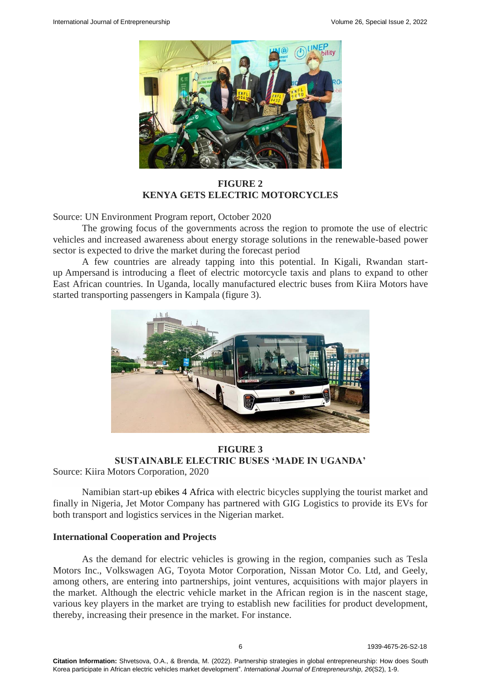

**FIGURE 2 KENYA GETS ELECTRIC MOTORCYCLES**

Source: [UN Environment Program report,](https://www.unep.org/resources/report/global-trade-used-vehicles-report) October 2020

The growing focus of the governments across the region to promote the use of electric vehicles and increased awareness about energy storage solutions in the renewable-based power sector is expected to drive the market during the forecast period

A few countries are already tapping into this potential. In Kigali, Rwandan startup [Ampersand](https://www.fastcompany.com/90460273/this-electric-motorcycle-startup-is-transforming-the-rwandan-taxi-industry) is introducing a fleet of electric motorcycle taxis and plans to expand to other East African countries. In Uganda, locally manufactured electric buses from [Kiira Motors](https://www.sustainable-bus.com/news/kiira-motors-corporations-kayoola-electric-bus-made-in-uganda/) have started transporting passengers in Kampala (figure 3).



# **FIGURE 3 SUSTAINABLE ELECTRIC BUSES 'MADE IN UGANDA'**

Source: Kiira Motors Corporation, 2020

Namibian start-up ebikes 4 Africa with electric bicycles supplying the tourist market and finally in Nigeria, Jet Motor Company has partnered with GIG Logistics to provide its EVs for both transport and logistics services in the Nigerian market.

# **International Cooperation and Projects**

As the demand for electric vehicles is growing in the region, companies such as Tesla Motors Inc., Volkswagen AG, Toyota Motor Corporation, Nissan Motor Co. Ltd, and Geely, among others, are entering into partnerships, joint ventures, acquisitions with major players in the market. Although the electric vehicle market in the African region is in the nascent stage, various key players in the market are trying to establish new facilities for product development, thereby, increasing their presence in the market. For instance.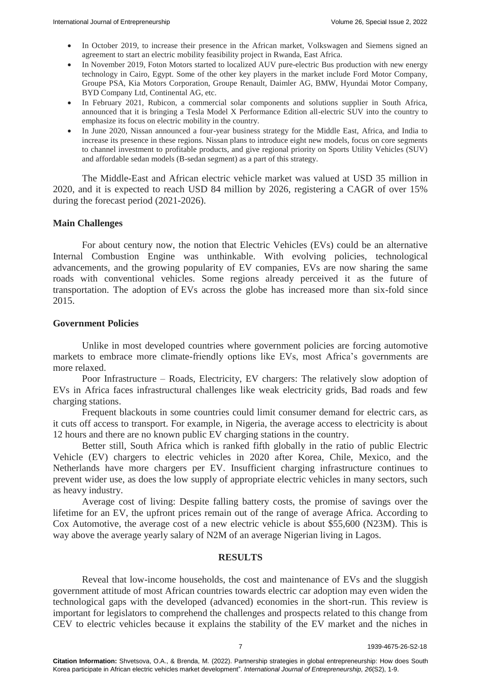- In October 2019, to increase their presence in the African market, Volkswagen and Siemens signed an agreement to start an electric mobility feasibility project in Rwanda, East Africa.
- In November 2019, Foton Motors started to localized AUV pure-electric Bus production with new energy technology in Cairo, Egypt. Some of the other key players in the market include Ford Motor Company, Groupe PSA, Kia Motors Corporation, Groupe Renault, Daimler AG, BMW, Hyundai Motor Company, BYD Company Ltd, Continental AG, etc.
- In February 2021, Rubicon, a commercial solar components and solutions supplier in South Africa, announced that it is bringing a Tesla Model X Performance Edition all-electric SUV into the country to emphasize its focus on electric mobility in the country.
- In June 2020, Nissan announced a four-year business strategy for the Middle East, Africa, and India to increase its presence in these regions. Nissan plans to introduce eight new models, focus on core segments to channel investment to profitable products, and give regional priority on Sports Utility Vehicles (SUV) and affordable sedan models (B-sedan segment) as a part of this strategy.

The Middle-East and African electric vehicle market was valued at USD 35 million in 2020, and it is expected to reach USD 84 million by 2026, registering a CAGR of over 15% during the forecast period (2021-2026).

# **Main Challenges**

For about century now, the notion that Electric Vehicles (EVs) could be an alternative Internal Combustion Engine was unthinkable. With evolving policies, technological advancements, and the growing popularity of EV companies, EVs are now sharing the same roads with conventional vehicles. Some regions already perceived it as the future of transportation. The adoption of EVs across the globe has increased more than six-fold since 2015.

### **Government Policies**

Unlike in most developed countries where government policies are forcing automotive markets to embrace more climate-friendly options like EVs, most Africa's governments are more relaxed.

Poor Infrastructure – Roads, Electricity, EV chargers: The relatively slow adoption of EVs in Africa faces infrastructural challenges like weak electricity grids, Bad roads and few charging stations.

Frequent blackouts in some countries could limit consumer demand for electric cars, as it cuts off access to transport. For example, in Nigeria, the average access to electricity is about 12 hours and there are no known public EV charging stations in the country.

Better still, South Africa which is ranked fifth globally in the ratio of public Electric Vehicle (EV) chargers to electric vehicles in 2020 after Korea, Chile, Mexico, and the Netherlands have more chargers per EV. Insufficient charging infrastructure continues to prevent wider use, as does the low supply of appropriate electric vehicles in many sectors, such as heavy industry.

Average cost of living: Despite falling battery costs, the promise of savings over the lifetime for an EV, the upfront prices remain out of the range of average Africa. According to Cox Automotive, the average cost of a new electric vehicle is about \$55,600 (N23M). This is way above the average yearly salary of N2M of an average Nigerian living in Lagos.

#### **RESULTS**

Reveal that low-income households, the cost and maintenance of EVs and the sluggish government attitude of most African countries towards electric car adoption may even widen the technological gaps with the developed (advanced) economies in the short-run. This review is important for legislators to comprehend the challenges and prospects related to this change from CEV to electric vehicles because it explains the stability of the EV market and the niches in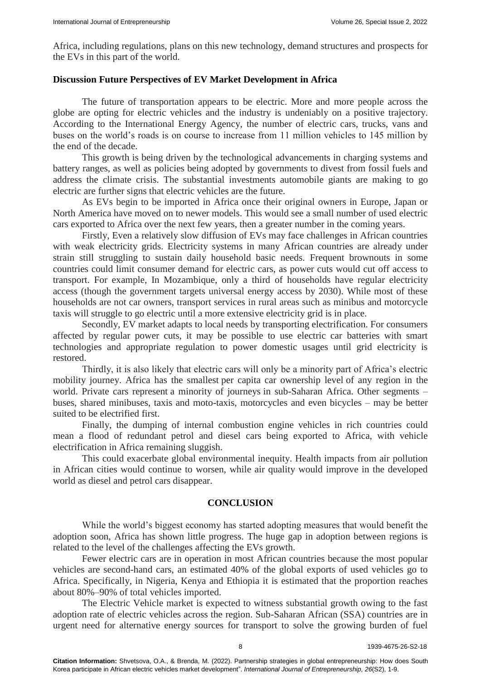Africa, including regulations, plans on this new technology, demand structures and prospects for the EVs in this part of the world.

### **Discussion Future Perspectives of EV Market Development in Africa**

The future of transportation appears to be electric. More and more people across the globe are opting for electric vehicles and the industry is undeniably on a positive trajectory. According to the International Energy Agency, the number of electric cars, trucks, vans and buses on the world's roads is on course to increase from 11 million vehicles to 145 million by the end of the decade.

This growth is being driven by the technological advancements in charging systems and battery ranges, as well as policies being adopted by governments to divest from fossil fuels and address the climate crisis. The substantial investments automobile giants are making to go electric are further signs that electric vehicles are the future.

As EVs begin to be imported in Africa once their original owners in Europe, Japan or North America have moved on to newer models. This would see a small number of used electric cars exported to Africa over the next few years, then a greater number in the coming years.

Firstly, Even a relatively slow diffusion of EVs may face challenges in African countries with weak electricity grids. Electricity systems in many African countries are already under strain still struggling to sustain daily household basic needs. Frequent brownouts in some countries could limit consumer demand for electric cars, as power cuts would cut off access to transport. For example, In Mozambique, only a third of households have regular electricity access (though the government targets universal energy access by 2030). While most of these households are not car owners, transport services in rural areas such as minibus and motorcycle taxis will struggle to go electric until a more extensive electricity grid is in place.

Secondly, EV market adapts to local needs by transporting electrification. For consumers affected by regular power cuts, it may be possible to use electric car batteries with smart technologies and appropriate regulation to power domestic usages until grid electricity is restored.

Thirdly, it is also likely that electric cars will only be a minority part of Africa's electric mobility journey. Africa has the smallest [per capita car ownership level](https://webstore.iea.org/download/direct/2892) of any region in the world. Private cars represent [a minority of journeys](https://www.google.com/url?sa=t&rct=j&q=&esrc=s&source=web&cd=&cad=rja&uact=8&ved=2ahUKEwjrmPK_6YLuAhUzRxUIHarqCH0QFjAAegQIARAC&url=https%253A%252F%252Fwww.mdpi.com%252F2673-4060%252F1%252F1%252F3&usg=AOvVaw0anzuYZDygPXHo_3cCyRHW) in sub-Saharan Africa. Other segments – buses, shared minibuses, taxis and moto-taxis, motorcycles and even bicycles – may be better suited to be electrified first.

Finally, the dumping of internal combustion engine vehicles in rich countries could mean a flood of redundant petrol and diesel cars being exported to Africa, with vehicle electrification in Africa remaining sluggish.

This could exacerbate global environmental inequity. Health impacts from air pollution in African cities would continue to worsen, while air quality would improve in the developed world as diesel and petrol cars disappear.

#### **CONCLUSION**

While the world's biggest economy has started adopting measures that would benefit the adoption soon, Africa has shown little progress. The huge gap in adoption between regions is related to the level of the challenges affecting the EVs growth.

Fewer electric cars are in operation in most African countries because the most popular vehicles are second-hand cars, an estimated 40% of the global exports of used vehicles go to Africa. Specifically, in Nigeria, Kenya and Ethiopia it is estimated that the proportion reaches about 80%–90% of total vehicles imported.

The Electric Vehicle market is expected to witness substantial growth owing to the fast adoption rate of electric vehicles across the region. Sub-Saharan African (SSA) countries are in urgent need for alternative energy sources for transport to solve the growing burden of fuel